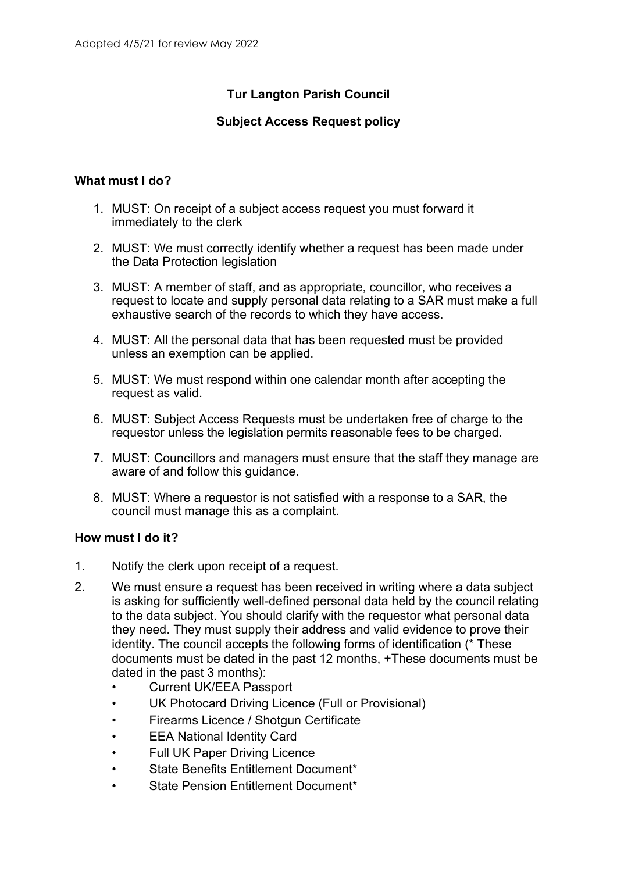## **Tur Langton Parish Council**

## **Subject Access Request policy**

## **What must I do?**

- 1. MUST: On receipt of a subject access request you must forward it immediately to the clerk
- 2. MUST: We must correctly identify whether a request has been made under the Data Protection legislation
- 3. MUST: A member of staff, and as appropriate, councillor, who receives a request to locate and supply personal data relating to a SAR must make a full exhaustive search of the records to which they have access.
- 4. MUST: All the personal data that has been requested must be provided unless an exemption can be applied.
- 5. MUST: We must respond within one calendar month after accepting the request as valid.
- 6. MUST: Subject Access Requests must be undertaken free of charge to the requestor unless the legislation permits reasonable fees to be charged.
- 7. MUST: Councillors and managers must ensure that the staff they manage are aware of and follow this guidance.
- 8. MUST: Where a requestor is not satisfied with a response to a SAR, the council must manage this as a complaint.

## **How must I do it?**

- 1. Notify the clerk upon receipt of a request.
- 2. We must ensure a request has been received in writing where a data subject is asking for sufficiently well-defined personal data held by the council relating to the data subject. You should clarify with the requestor what personal data they need. They must supply their address and valid evidence to prove their identity. The council accepts the following forms of identification (\* These documents must be dated in the past 12 months, +These documents must be dated in the past 3 months):
	- Current UK/EEA Passport
	- UK Photocard Driving Licence (Full or Provisional)
	- Firearms Licence / Shotgun Certificate
	- **EEA National Identity Card**
	- Full UK Paper Driving Licence
	- State Benefits Entitlement Document\*
	- State Pension Entitlement Document\*